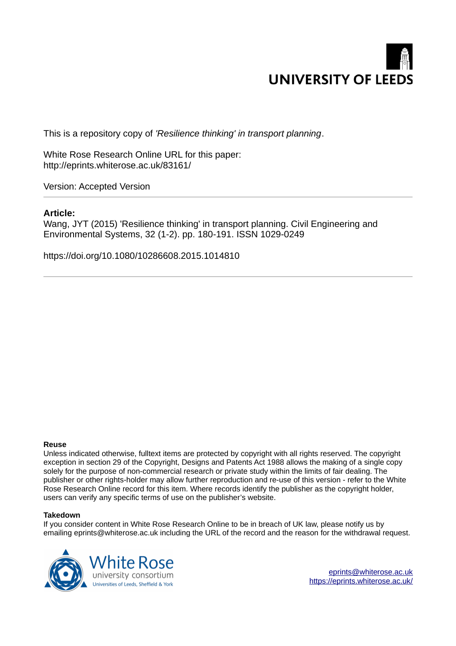

This is a repository copy of *'Resilience thinking' in transport planning*.

White Rose Research Online URL for this paper: http://eprints.whiterose.ac.uk/83161/

Version: Accepted Version

### **Article:**

Wang, JYT (2015) 'Resilience thinking' in transport planning. Civil Engineering and Environmental Systems, 32 (1-2). pp. 180-191. ISSN 1029-0249

https://doi.org/10.1080/10286608.2015.1014810

#### **Reuse**

Unless indicated otherwise, fulltext items are protected by copyright with all rights reserved. The copyright exception in section 29 of the Copyright, Designs and Patents Act 1988 allows the making of a single copy solely for the purpose of non-commercial research or private study within the limits of fair dealing. The publisher or other rights-holder may allow further reproduction and re-use of this version - refer to the White Rose Research Online record for this item. Where records identify the publisher as the copyright holder, users can verify any specific terms of use on the publisher's website.

#### **Takedown**

If you consider content in White Rose Research Online to be in breach of UK law, please notify us by emailing eprints@whiterose.ac.uk including the URL of the record and the reason for the withdrawal request.



[eprints@whiterose.ac.uk](mailto:eprints@whiterose.ac.uk) <https://eprints.whiterose.ac.uk/>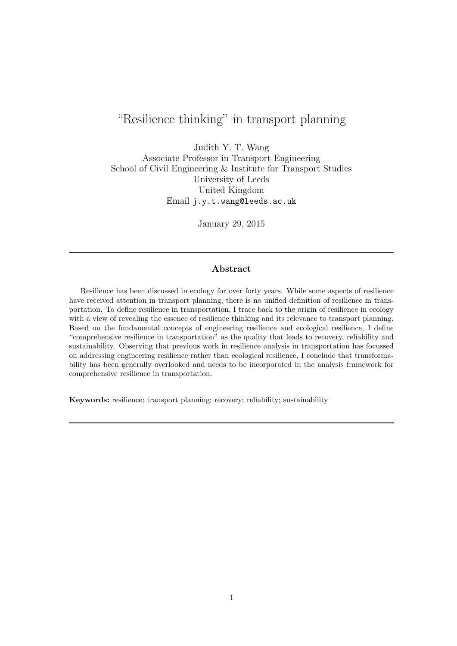# "Resilience thinking" in transport planning

Judith Y. T. Wang Associate Professor in Transport Engineering School of Civil Engineering & Institute for Transport Studies University of Leeds United Kingdom Email j.y.t.wang@leeds.ac.uk

January 29, 2015

### Abstract

Resilience has been discussed in ecology for over forty years. While some aspects of resilience have received attention in transport planning, there is no unified definition of resilience in transportation. To define resilience in transportation, I trace back to the origin of resilience in ecology with a view of revealing the essence of resilience thinking and its relevance to transport planning. Based on the fundamental concepts of engineering resilience and ecological resilience, I define "comprehensive resilience in transportation" as the quality that leads to recovery, reliability and sustainability. Observing that previous work in resilience analysis in transportation has focussed on addressing engineering resilience rather than ecological resilience, I conclude that transformability has been generally overlooked and needs to be incorporated in the analysis framework for comprehensive resilience in transportation.

Keywords: resilience; transport planning; recovery; reliability; sustainability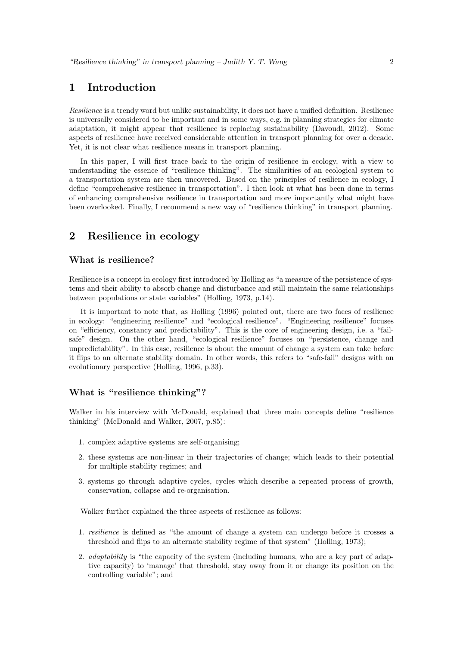### 1 Introduction

*Resilience* is a trendy word but unlike sustainability, it does not have a unified definition. Resilience is universally considered to be important and in some ways, e.g. in planning strategies for climate adaptation, it might appear that resilience is replacing sustainability (Davoudi, 2012). Some aspects of resilience have received considerable attention in transport planning for over a decade. Yet, it is not clear what resilience means in transport planning.

In this paper, I will first trace back to the origin of resilience in ecology, with a view to understanding the essence of "resilience thinking". The similarities of an ecological system to a transportation system are then uncovered. Based on the principles of resilience in ecology, I define "comprehensive resilience in transportation". I then look at what has been done in terms of enhancing comprehensive resilience in transportation and more importantly what might have been overlooked. Finally, I recommend a new way of "resilience thinking" in transport planning.

### 2 Resilience in ecology

#### What is resilience?

Resilience is a concept in ecology first introduced by Holling as "a measure of the persistence of systems and their ability to absorb change and disturbance and still maintain the same relationships between populations or state variables" (Holling, 1973, p.14).

It is important to note that, as Holling (1996) pointed out, there are two faces of resilience in ecology: "engineering resilience" and "ecological resilience". "Engineering resilience" focuses on "efficiency, constancy and predictability". This is the core of engineering design, i.e. a "failsafe" design. On the other hand, "ecological resilience" focuses on "persistence, change and unpredictability". In this case, resilience is about the amount of change a system can take before it flips to an alternate stability domain. In other words, this refers to "safe-fail" designs with an evolutionary perspective (Holling, 1996, p.33).

#### What is "resilience thinking"?

Walker in his interview with McDonald, explained that three main concepts define "resilience thinking" (McDonald and Walker, 2007, p.85):

- 1. complex adaptive systems are self-organising;
- 2. these systems are non-linear in their trajectories of change; which leads to their potential for multiple stability regimes; and
- 3. systems go through adaptive cycles, cycles which describe a repeated process of growth, conservation, collapse and re-organisation.

Walker further explained the three aspects of resilience as follows:

- 1. *resilience* is defined as "the amount of change a system can undergo before it crosses a threshold and flips to an alternate stability regime of that system" (Holling, 1973);
- 2. *adaptability* is "the capacity of the system (including humans, who are a key part of adaptive capacity) to 'manage' that threshold, stay away from it or change its position on the controlling variable"; and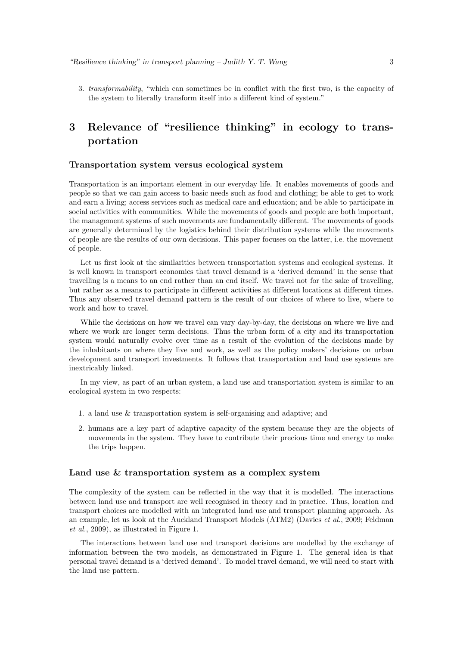3. *transformability*, "which can sometimes be in conflict with the first two, is the capacity of the system to literally transform itself into a different kind of system."

## 3 Relevance of "resilience thinking" in ecology to transportation

#### Transportation system versus ecological system

Transportation is an important element in our everyday life. It enables movements of goods and people so that we can gain access to basic needs such as food and clothing; be able to get to work and earn a living; access services such as medical care and education; and be able to participate in social activities with communities. While the movements of goods and people are both important, the management systems of such movements are fundamentally different. The movements of goods are generally determined by the logistics behind their distribution systems while the movements of people are the results of our own decisions. This paper focuses on the latter, i.e. the movement of people.

Let us first look at the similarities between transportation systems and ecological systems. It is well known in transport economics that travel demand is a 'derived demand' in the sense that travelling is a means to an end rather than an end itself. We travel not for the sake of travelling, but rather as a means to participate in different activities at different locations at different times. Thus any observed travel demand pattern is the result of our choices of where to live, where to work and how to travel.

While the decisions on how we travel can vary day-by-day, the decisions on where we live and where we work are longer term decisions. Thus the urban form of a city and its transportation system would naturally evolve over time as a result of the evolution of the decisions made by the inhabitants on where they live and work, as well as the policy makers' decisions on urban development and transport investments. It follows that transportation and land use systems are inextricably linked.

In my view, as part of an urban system, a land use and transportation system is similar to an ecological system in two respects:

- 1. a land use & transportation system is self-organising and adaptive; and
- 2. humans are a key part of adaptive capacity of the system because they are the objects of movements in the system. They have to contribute their precious time and energy to make the trips happen.

#### Land use & transportation system as a complex system

The complexity of the system can be reflected in the way that it is modelled. The interactions between land use and transport are well recognised in theory and in practice. Thus, location and transport choices are modelled with an integrated land use and transport planning approach. As an example, let us look at the Auckland Transport Models (ATM2) (Davies *et al.*, 2009; Feldman *et al.*, 2009), as illustrated in Figure 1.

The interactions between land use and transport decisions are modelled by the exchange of information between the two models, as demonstrated in Figure 1. The general idea is that personal travel demand is a 'derived demand'. To model travel demand, we will need to start with the land use pattern.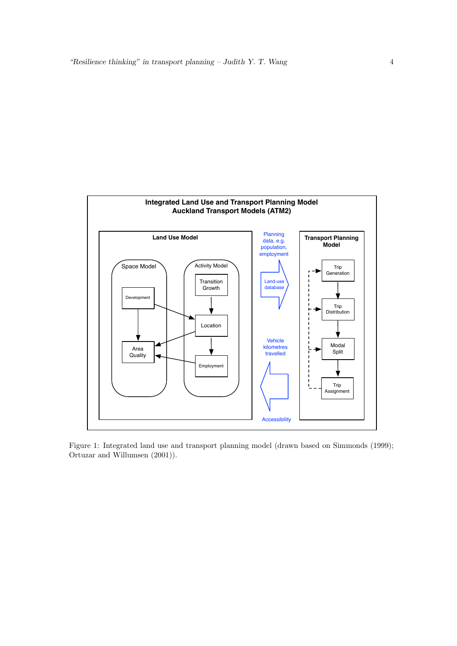

Figure 1: Integrated land use and transport planning model (drawn based on Simmonds (1999); Ortuzar and Willumsen (2001)).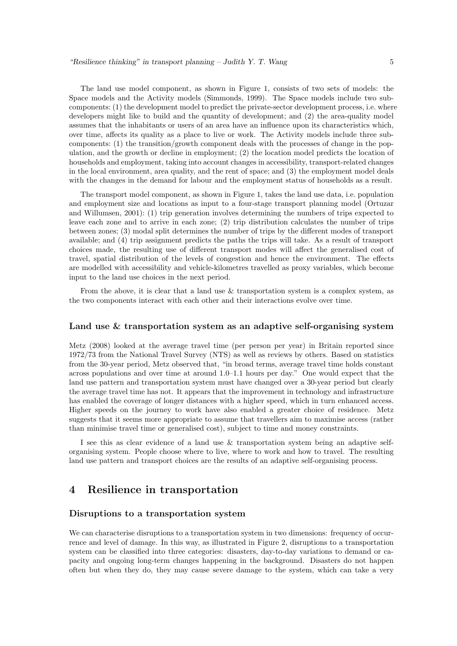The land use model component, as shown in Figure 1, consists of two sets of models: the Space models and the Activity models (Simmonds, 1999). The Space models include two subcomponents: (1) the development model to predict the private-sector development process, i.e. where developers might like to build and the quantity of development; and (2) the area-quality model assumes that the inhabitants or users of an area have an influence upon its characteristics which, over time, affects its quality as a place to live or work. The Activity models include three subcomponents: (1) the transition/growth component deals with the processes of change in the population, and the growth or decline in employment; (2) the location model predicts the location of households and employment, taking into account changes in accessibility, transport-related changes in the local environment, area quality, and the rent of space; and (3) the employment model deals with the changes in the demand for labour and the employment status of households as a result.

The transport model component, as shown in Figure 1, takes the land use data, i.e. population and employment size and locations as input to a four-stage transport planning model (Ortuzar and Willumsen, 2001): (1) trip generation involves determining the numbers of trips expected to leave each zone and to arrive in each zone; (2) trip distribution calculates the number of trips between zones; (3) modal split determines the number of trips by the different modes of transport available; and (4) trip assignment predicts the paths the trips will take. As a result of transport choices made, the resulting use of different transport modes will affect the generalised cost of travel, spatial distribution of the levels of congestion and hence the environment. The effects are modelled with accessibility and vehicle-kilometres travelled as proxy variables, which become input to the land use choices in the next period.

From the above, it is clear that a land use & transportation system is a complex system, as the two components interact with each other and their interactions evolve over time.

#### Land use & transportation system as an adaptive self-organising system

Metz (2008) looked at the average travel time (per person per year) in Britain reported since 1972/73 from the National Travel Survey (NTS) as well as reviews by others. Based on statistics from the 30-year period, Metz observed that, "in broad terms, average travel time holds constant across populations and over time at around 1.0–1.1 hours per day." One would expect that the land use pattern and transportation system must have changed over a 30-year period but clearly the average travel time has not. It appears that the improvement in technology and infrastructure has enabled the coverage of longer distances with a higher speed, which in turn enhanced access. Higher speeds on the journey to work have also enabled a greater choice of residence. Metz suggests that it seems more appropriate to assume that travellers aim to maximise access (rather than minimise travel time or generalised cost), subject to time and money constraints.

I see this as clear evidence of a land use & transportation system being an adaptive selforganising system. People choose where to live, where to work and how to travel. The resulting land use pattern and transport choices are the results of an adaptive self-organising process.

### 4 Resilience in transportation

#### Disruptions to a transportation system

We can characterise disruptions to a transportation system in two dimensions: frequency of occurrence and level of damage. In this way, as illustrated in Figure 2, disruptions to a transportation system can be classified into three categories: disasters, day-to-day variations to demand or capacity and ongoing long-term changes happening in the background. Disasters do not happen often but when they do, they may cause severe damage to the system, which can take a very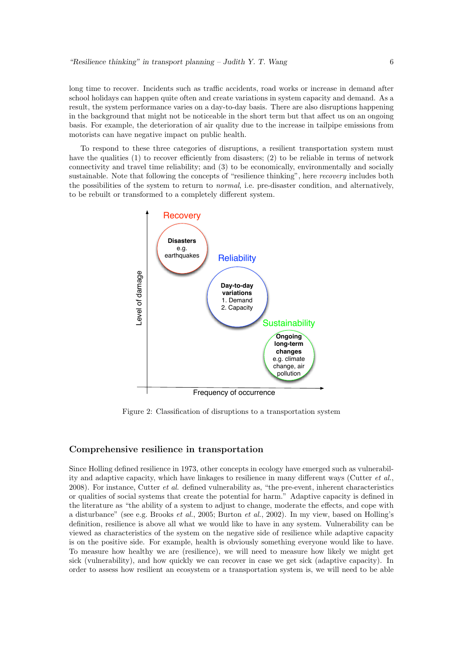long time to recover. Incidents such as traffic accidents, road works or increase in demand after school holidays can happen quite often and create variations in system capacity and demand. As a result, the system performance varies on a day-to-day basis. There are also disruptions happening in the background that might not be noticeable in the short term but that affect us on an ongoing basis. For example, the deterioration of air quality due to the increase in tailpipe emissions from motorists can have negative impact on public health.

To respond to these three categories of disruptions, a resilient transportation system must have the qualities (1) to recover efficiently from disasters; (2) to be reliable in terms of network connectivity and travel time reliability; and (3) to be economically, environmentally and socially sustainable. Note that following the concepts of "resilience thinking", here *recovery* includes both the possibilities of the system to return to *normal*, i.e. pre-disaster condition, and alternatively, to be rebuilt or transformed to a completely different system.



Figure 2: Classification of disruptions to a transportation system

#### Comprehensive resilience in transportation

Since Holling defined resilience in 1973, other concepts in ecology have emerged such as vulnerability and adaptive capacity, which have linkages to resilience in many different ways (Cutter *et al.*, 2008). For instance, Cutter *et al.* defined vulnerability as, "the pre-event, inherent characteristics or qualities of social systems that create the potential for harm." Adaptive capacity is defined in the literature as "the ability of a system to adjust to change, moderate the effects, and cope with a disturbance" (see e.g. Brooks *et al.*, 2005; Burton *et al.*, 2002). In my view, based on Holling's definition, resilience is above all what we would like to have in any system. Vulnerability can be viewed as characteristics of the system on the negative side of resilience while adaptive capacity is on the positive side. For example, health is obviously something everyone would like to have. To measure how healthy we are (resilience), we will need to measure how likely we might get sick (vulnerability), and how quickly we can recover in case we get sick (adaptive capacity). In order to assess how resilient an ecosystem or a transportation system is, we will need to be able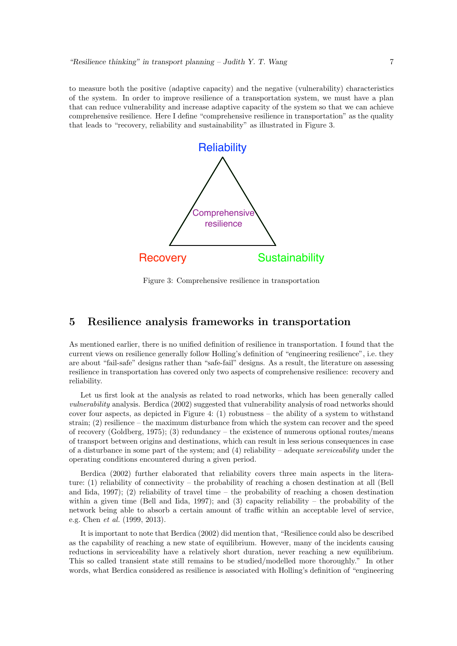to measure both the positive (adaptive capacity) and the negative (vulnerability) characteristics of the system. In order to improve resilience of a transportation system, we must have a plan that can reduce vulnerability and increase adaptive capacity of the system so that we can achieve comprehensive resilience. Here I define "comprehensive resilience in transportation" as the quality that leads to "recovery, reliability and sustainability" as illustrated in Figure 3.



Figure 3: Comprehensive resilience in transportation

### 5 Resilience analysis frameworks in transportation

As mentioned earlier, there is no unified definition of resilience in transportation. I found that the current views on resilience generally follow Holling's definition of "engineering resilience", i.e. they are about "fail-safe" designs rather than "safe-fail" designs. As a result, the literature on assessing resilience in transportation has covered only two aspects of comprehensive resilience: recovery and reliability.

Let us first look at the analysis as related to road networks, which has been generally called *vulnerability* analysis. Berdica (2002) suggested that vulnerability analysis of road networks should cover four aspects, as depicted in Figure 4:  $(1)$  robustness – the ability of a system to withstand strain; (2) resilience – the maximum disturbance from which the system can recover and the speed of recovery (Goldberg, 1975); (3) redundancy – the existence of numerous optional routes/means of transport between origins and destinations, which can result in less serious consequences in case of a disturbance in some part of the system; and (4) reliability – adequate *serviceability* under the operating conditions encountered during a given period.

Berdica (2002) further elaborated that reliability covers three main aspects in the literature: (1) reliability of connectivity – the probability of reaching a chosen destination at all (Bell and Iida, 1997); (2) reliability of travel time – the probability of reaching a chosen destination within a given time (Bell and Iida, 1997); and (3) capacity reliability – the probability of the network being able to absorb a certain amount of traffic within an acceptable level of service, e.g. Chen *et al.* (1999, 2013).

It is important to note that Berdica (2002) did mention that, "Resilience could also be described as the capability of reaching a new state of equilibrium. However, many of the incidents causing reductions in serviceability have a relatively short duration, never reaching a new equilibrium. This so called transient state still remains to be studied/modelled more thoroughly." In other words, what Berdica considered as resilience is associated with Holling's definition of "engineering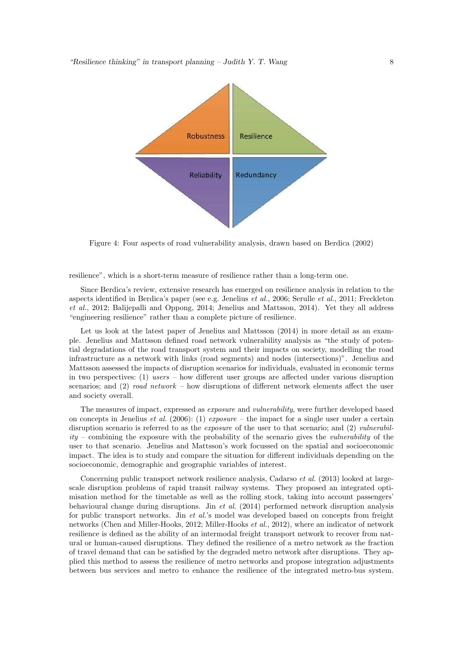

Figure 4: Four aspects of road vulnerability analysis, drawn based on Berdica (2002)

resilience", which is a short-term measure of resilience rather than a long-term one.

Since Berdica's review, extensive research has emerged on resilience analysis in relation to the aspects identified in Berdica's paper (see e.g. Jenelius *et al.*, 2006; Serulle *et al.*, 2011; Freckleton *et al.*, 2012; Balijepalli and Oppong, 2014; Jenelius and Mattsson, 2014). Yet they all address "engineering resilience" rather than a complete picture of resilience.

Let us look at the latest paper of Jenelius and Mattsson  $(2014)$  in more detail as an example. Jenelius and Mattsson defined road network vulnerability analysis as "the study of potential degradations of the road transport system and their impacts on society, modelling the road infrastructure as a network with links (road segments) and nodes (intersections)". Jenelius and Mattsson assessed the impacts of disruption scenarios for individuals, evaluated in economic terms in two perspectives: (1) *users* – how different user groups are affected under various disruption scenarios; and (2) *road network* – how disruptions of different network elements affect the user and society overall.

The measures of impact, expressed as *exposure* and *vulnerability*, were further developed based on concepts in Jenelius *et al.* (2006): (1) *exposure* – the impact for a single user under a certain disruption scenario is referred to as the *exposure* of the user to that scenario; and (2) *vulnerability* – combining the exposure with the probability of the scenario gives the *vulnerability* of the user to that scenario. Jenelius and Mattsson's work focussed on the spatial and socioeconomic impact. The idea is to study and compare the situation for different individuals depending on the socioeconomic, demographic and geographic variables of interest.

Concerning public transport network resilience analysis, Cadarso *et al.* (2013) looked at largescale disruption problems of rapid transit railway systems. They proposed an integrated optimisation method for the timetable as well as the rolling stock, taking into account passengers' behavioural change during disruptions. Jin *et al.* (2014) performed network disruption analysis for public transport networks. Jin *et al.*'s model was developed based on concepts from freight networks (Chen and Miller-Hooks, 2012; Miller-Hooks *et al.*, 2012), where an indicator of network resilience is defined as the ability of an intermodal freight transport network to recover from natural or human-caused disruptions. They defined the resilience of a metro network as the fraction of travel demand that can be satisfied by the degraded metro network after disruptions. They applied this method to assess the resilience of metro networks and propose integration adjustments between bus services and metro to enhance the resilience of the integrated metro-bus system.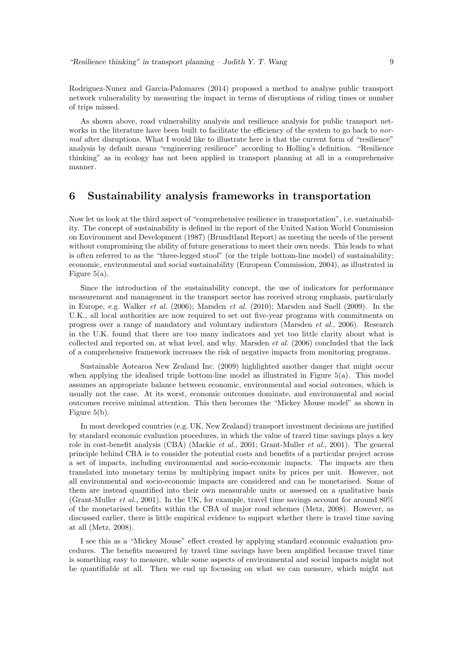Rodriguez-Nunez and Garcia-Palomares (2014) proposed a method to analyse public transport network vulnerability by measuring the impact in terms of disruptions of riding times or number of trips missed.

As shown above, road vulnerability analysis and resilience analysis for public transport networks in the literature have been built to facilitate the efficiency of the system to go back to *normal* after disruptions. What I would like to illustrate here is that the current form of "resilience" analysis by default means "engineering resilience" according to Holling's definition. "Resilience thinking" as in ecology has not been applied in transport planning at all in a comprehensive manner.

### 6 Sustainability analysis frameworks in transportation

Now let us look at the third aspect of "comprehensive resilience in transportation", i.e. sustainability. The concept of sustainability is defined in the report of the United Nation World Commission on Environment and Development (1987) (Brundtland Report) as meeting the needs of the present without compromising the ability of future generations to meet their own needs. This leads to what is often referred to as the "three-legged stool" (or the triple bottom-line model) of sustainability: economic, environmental and social sustainability (European Commission, 2004), as illustrated in Figure 5(a).

Since the introduction of the sustainability concept, the use of indicators for performance measurement and management in the transport sector has received strong emphasis, particularly in Europe, e.g. Walker *et al.* (2006); Marsden *et al.* (2010); Marsden and Snell (2009). In the U.K., all local authorities are now required to set out five-year programs with commitments on progress over a range of mandatory and voluntary indicators (Marsden *et al.*, 2006). Research in the U.K. found that there are too many indicators and yet too little clarity about what is collected and reported on, at what level, and why. Marsden *et al.* (2006) concluded that the lack of a comprehensive framework increases the risk of negative impacts from monitoring programs.

Sustainable Aotearoa New Zealand Inc. (2009) highlighted another danger that might occur when applying the idealised triple bottom-line model as illustrated in Figure 5(a). This model assumes an appropriate balance between economic, environmental and social outcomes, which is usually not the case. At its worst, economic outcomes dominate, and environmental and social outcomes receive minimal attention. This then becomes the "Mickey Mouse model" as shown in Figure 5(b).

In most developed countries (e.g. UK, New Zealand) transport investment decisions are justified by standard economic evaluation procedures, in which the value of travel time savings plays a key role in cost-benefit analysis (CBA) (Mackie *et al.*, 2001; Grant-Muller *et al.*, 2001). The general principle behind CBA is to consider the potential costs and benefits of a particular project across a set of impacts, including environmental and socio-economic impacts. The impacts are then translated into monetary terms by multiplying impact units by prices per unit. However, not all environmental and socio-economic impacts are considered and can be monetarised. Some of them are instead quantified into their own measurable units or assessed on a qualitative basis (Grant-Muller *et al.*, 2001). In the UK, for example, travel time savings account for around 80% of the monetarised benefits within the CBA of major road schemes (Metz, 2008). However, as discussed earlier, there is little empirical evidence to support whether there is travel time saving at all (Metz, 2008).

I see this as a "Mickey Mouse" effect created by applying standard economic evaluation procedures. The benefits measured by travel time savings have been amplified because travel time is something easy to measure, while some aspects of environmental and social impacts might not be quantifiable at all. Then we end up focussing on what we can measure, which might not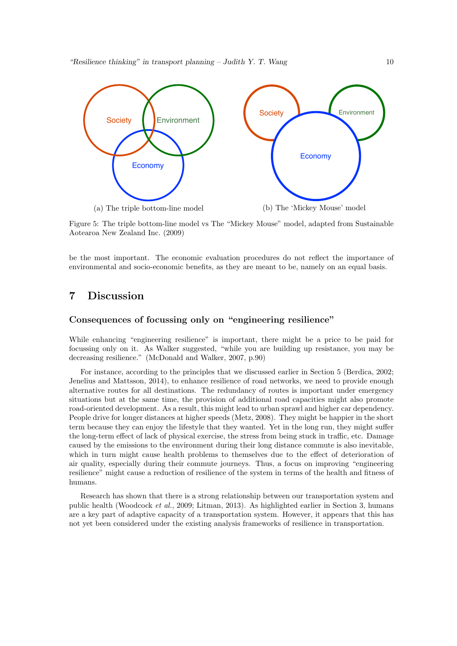

Figure 5: The triple bottom-line model vs The "Mickey Mouse" model, adapted from Sustainable Aotearoa New Zealand Inc. (2009)

be the most important. The economic evaluation procedures do not reflect the importance of environmental and socio-economic benefits, as they are meant to be, namely on an equal basis.

### 7 Discussion

#### Consequences of focussing only on "engineering resilience"

While enhancing "engineering resilience" is important, there might be a price to be paid for focussing only on it. As Walker suggested, "while you are building up resistance, you may be decreasing resilience." (McDonald and Walker, 2007, p.90)

For instance, according to the principles that we discussed earlier in Section 5 (Berdica, 2002; Jenelius and Mattsson, 2014), to enhance resilience of road networks, we need to provide enough alternative routes for all destinations. The redundancy of routes is important under emergency situations but at the same time, the provision of additional road capacities might also promote road-oriented development. As a result, this might lead to urban sprawl and higher car dependency. People drive for longer distances at higher speeds (Metz, 2008). They might be happier in the short term because they can enjoy the lifestyle that they wanted. Yet in the long run, they might suffer the long-term effect of lack of physical exercise, the stress from being stuck in traffic, etc. Damage caused by the emissions to the environment during their long distance commute is also inevitable, which in turn might cause health problems to themselves due to the effect of deterioration of air quality, especially during their commute journeys. Thus, a focus on improving "engineering resilience" might cause a reduction of resilience of the system in terms of the health and fitness of humans.

Research has shown that there is a strong relationship between our transportation system and public health (Woodcock *et al.*, 2009; Litman, 2013). As highlighted earlier in Section 3, humans are a key part of adaptive capacity of a transportation system. However, it appears that this has not yet been considered under the existing analysis frameworks of resilience in transportation.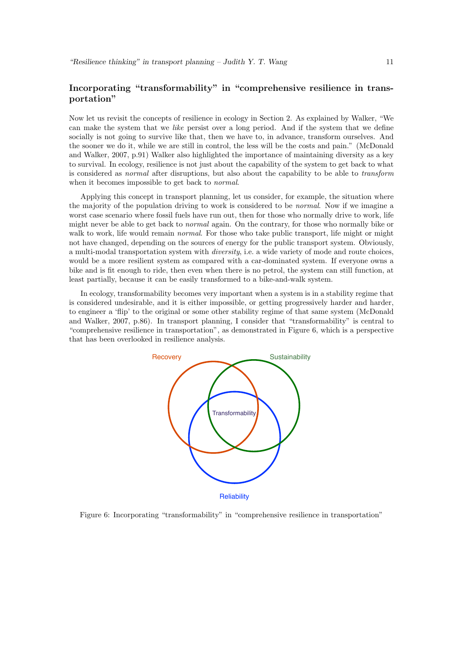### Incorporating "transformability" in "comprehensive resilience in transportation"

Now let us revisit the concepts of resilience in ecology in Section 2. As explained by Walker, "We can make the system that we *like* persist over a long period. And if the system that we define socially is not going to survive like that, then we have to, in advance, transform ourselves. And the sooner we do it, while we are still in control, the less will be the costs and pain." (McDonald and Walker, 2007, p.91) Walker also highlighted the importance of maintaining diversity as a key to survival. In ecology, resilience is not just about the capability of the system to get back to what is considered as *normal* after disruptions, but also about the capability to be able to *transform* when it becomes impossible to get back to *normal*.

Applying this concept in transport planning, let us consider, for example, the situation where the majority of the population driving to work is considered to be *normal*. Now if we imagine a worst case scenario where fossil fuels have run out, then for those who normally drive to work, life might never be able to get back to *normal* again. On the contrary, for those who normally bike or walk to work, life would remain *normal*. For those who take public transport, life might or might not have changed, depending on the sources of energy for the public transport system. Obviously, a multi-modal transportation system with *diversity*, i.e. a wide variety of mode and route choices, would be a more resilient system as compared with a car-dominated system. If everyone owns a bike and is fit enough to ride, then even when there is no petrol, the system can still function, at least partially, because it can be easily transformed to a bike-and-walk system.

In ecology, transformability becomes very important when a system is in a stability regime that is considered undesirable, and it is either impossible, or getting progressively harder and harder, to engineer a 'flip' to the original or some other stability regime of that same system (McDonald and Walker, 2007, p.86). In transport planning, I consider that "transformability" is central to "comprehensive resilience in transportation", as demonstrated in Figure 6, which is a perspective that has been overlooked in resilience analysis.



Figure 6: Incorporating "transformability" in "comprehensive resilience in transportation"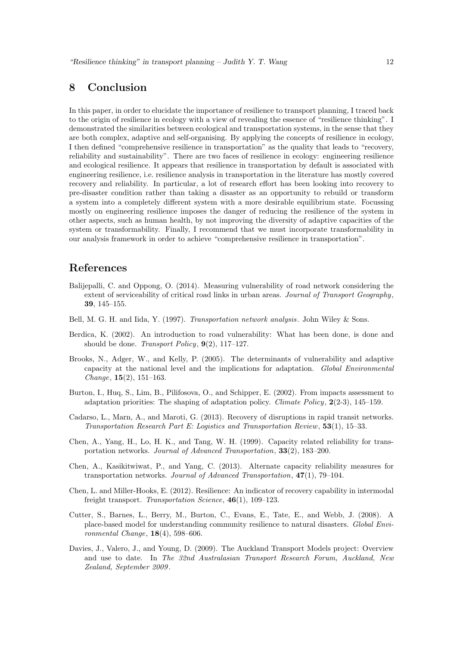### 8 Conclusion

In this paper, in order to elucidate the importance of resilience to transport planning, I traced back to the origin of resilience in ecology with a view of revealing the essence of "resilience thinking". I demonstrated the similarities between ecological and transportation systems, in the sense that they are both complex, adaptive and self-organising. By applying the concepts of resilience in ecology, I then defined "comprehensive resilience in transportation" as the quality that leads to "recovery, reliability and sustainability". There are two faces of resilience in ecology: engineering resilience and ecological resilience. It appears that resilience in transportation by default is associated with engineering resilience, i.e. resilience analysis in transportation in the literature has mostly covered recovery and reliability. In particular, a lot of research effort has been looking into recovery to pre-disaster condition rather than taking a disaster as an opportunity to rebuild or transform a system into a completely different system with a more desirable equilibrium state. Focussing mostly on engineering resilience imposes the danger of reducing the resilience of the system in other aspects, such as human health, by not improving the diversity of adaptive capacities of the system or transformability. Finally, I recommend that we must incorporate transformability in our analysis framework in order to achieve "comprehensive resilience in transportation".

### References

- Balijepalli, C. and Oppong, O. (2014). Measuring vulnerability of road network considering the extent of serviceability of critical road links in urban areas. *Journal of Transport Geography*, 39, 145–155.
- Bell, M. G. H. and Iida, Y. (1997). *Transportation network analysis*. John Wiley & Sons.
- Berdica, K. (2002). An introduction to road vulnerability: What has been done, is done and should be done. *Transport Policy*, 9(2), 117–127.
- Brooks, N., Adger, W., and Kelly, P. (2005). The determinants of vulnerability and adaptive capacity at the national level and the implications for adaptation. *Global Environmental Change*, 15(2), 151–163.
- Burton, I., Huq, S., Lim, B., Pilifosova, O., and Schipper, E. (2002). From impacts assessment to adaptation priorities: The shaping of adaptation policy. *Climate Policy*, 2(2-3), 145–159.
- Cadarso, L., Marn, A., and Maroti, G. (2013). Recovery of disruptions in rapid transit networks. *Transportation Research Part E: Logistics and Transportation Review*, 53(1), 15–33.
- Chen, A., Yang, H., Lo, H. K., and Tang, W. H. (1999). Capacity related reliability for transportation networks. *Journal of Advanced Transportation*, 33(2), 183–200.
- Chen, A., Kasikitwiwat, P., and Yang, C. (2013). Alternate capacity reliability measures for transportation networks. *Journal of Advanced Transportation*, 47(1), 79–104.
- Chen, L. and Miller-Hooks, E. (2012). Resilience: An indicator of recovery capability in intermodal freight transport. *Transportation Science*, 46(1), 109–123.
- Cutter, S., Barnes, L., Berry, M., Burton, C., Evans, E., Tate, E., and Webb, J. (2008). A place-based model for understanding community resilience to natural disasters. *Global Environmental Change*, 18(4), 598–606.
- Davies, J., Valero, J., and Young, D. (2009). The Auckland Transport Models project: Overview and use to date. In *The 32nd Australasian Transport Research Forum, Auckland, New Zealand, September 2009* .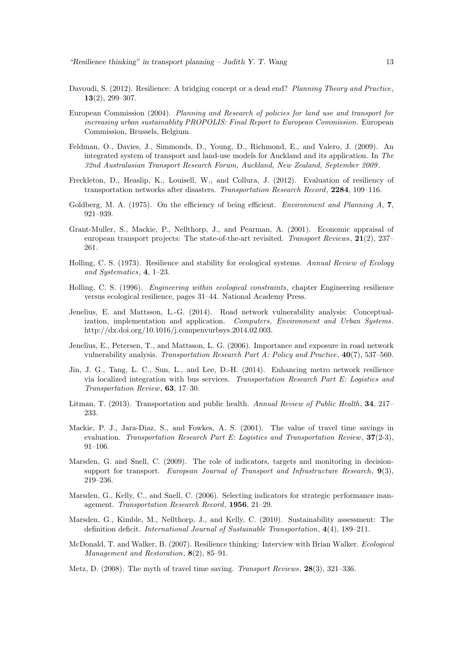- Davoudi, S. (2012). Resilience: A bridging concept or a dead end? *Planning Theory and Practice*, 13(2), 299–307.
- European Commission (2004). *Planning and Research of policies for land use and transport for increasing urban sustainablity PROPOLIS: Final Report to European Commission*. European Commission, Brussels, Belgium.
- Feldman, O., Davies, J., Simmonds, D., Young, D., Richmond, E., and Valero, J. (2009). An integrated system of transport and land-use models for Auckland and its application. In *The 32nd Australasian Transport Research Forum, Auckland, New Zealand, September 2009* .
- Freckleton, D., Heaslip, K., Louisell, W., and Collura, J. (2012). Evaluation of resiliency of transportation networks after disasters. *Transportation Research Record*, 2284, 109–116.
- Goldberg, M. A. (1975). On the efficiency of being efficient. *Environment and Planning A*, 7, 921–939.
- Grant-Muller, S., Mackie, P., Nellthorp, J., and Pearman, A. (2001). Economic appraisal of european transport projects: The state-of-the-art revisited. *Transport Reviews*, 21(2), 237– 261.
- Holling, C. S. (1973). Resilience and stability for ecological systems. *Annual Review of Ecology and Systematics*, 4, 1–23.
- Holling, C. S. (1996). *Engineering within ecological constraints*, chapter Engineering resilience versus ecological resilience, pages 31–44. National Academy Press.
- Jenelius, E. and Mattsson, L.-G. (2014). Road network vulnerability analysis: Conceptualization, implementation and application. *Computers, Environment and Urban Systems*. http://dx.doi.org/10.1016/j.compenvurbsys.2014.02.003.
- Jenelius, E., Petersen, T., and Mattsson, L. G. (2006). Importance and exposure in road network vulnerability analysis. *Transportation Research Part A: Policy and Practice*, 40(7), 537–560.
- Jin, J. G., Tang, L. C., Sun, L., and Lee, D.-H. (2014). Enhancing metro network resilience via localized integration with bus services. *Transportation Research Part E: Logistics and Transportation Review*, 63, 17–30.
- Litman, T. (2013). Transportation and public health. *Annual Review of Public Health*, 34, 217– 233.
- Mackie, P. J., Jara-Diaz, S., and Fowkes, A. S. (2001). The value of travel time savings in evaluation. *Transportation Research Part E: Logistics and Transportation Review*, 37(2-3), 91–106.
- Marsden, G. and Snell, C. (2009). The role of indicators, targets and monitoring in decisionsupport for transport. *European Journal of Transport and Infrastructure Research*, 9(3), 219–236.
- Marsden, G., Kelly, C., and Snell, C. (2006). Selecting indicators for strategic performance management. *Transportation Research Record*, 1956, 21–29.
- Marsden, G., Kimble, M., Nellthorp, J., and Kelly, C. (2010). Sustainability assessment: The definition deficit. *International Journal of Sustainable Transportation*, 4(4), 189–211.
- McDonald, T. and Walker, B. (2007). Resilience thinking: Interview with Brian Walker. *Ecological Management and Restoration*, 8(2), 85–91.
- Metz, D. (2008). The myth of travel time saving. *Transport Reviews*, 28(3), 321–336.